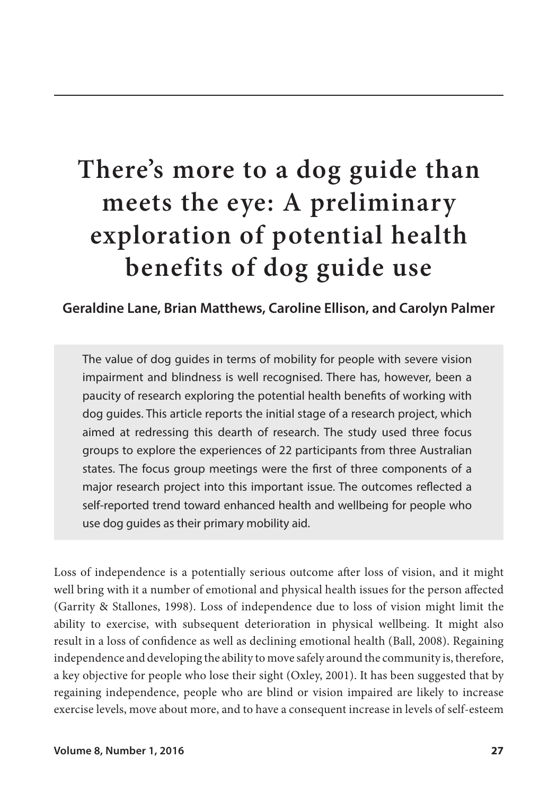# **There's more to a dog guide than meets the eye: A preliminary exploration of potential health benefits of dog guide use**

# **Geraldine Lane, Brian Matthews, Caroline Ellison, and Carolyn Palmer**

The value of dog guides in terms of mobility for people with severe vision impairment and blindness is well recognised. There has, however, been a paucity of research exploring the potential health benefits of working with dog guides. This article reports the initial stage of a research project, which aimed at redressing this dearth of research. The study used three focus groups to explore the experiences of 22 participants from three Australian states. The focus group meetings were the first of three components of a major research project into this important issue. The outcomes reflected a self-reported trend toward enhanced health and wellbeing for people who use dog guides as their primary mobility aid.

Loss of independence is a potentially serious outcome after loss of vision, and it might well bring with it a number of emotional and physical health issues for the person affected (Garrity & Stallones, 1998). Loss of independence due to loss of vision might limit the ability to exercise, with subsequent deterioration in physical wellbeing. It might also result in a loss of confidence as well as declining emotional health (Ball, 2008). Regaining independence and developing the ability to move safely around the community is, therefore, a key objective for people who lose their sight (Oxley, 2001). It has been suggested that by regaining independence, people who are blind or vision impaired are likely to increase exercise levels, move about more, and to have a consequent increase in levels of self-esteem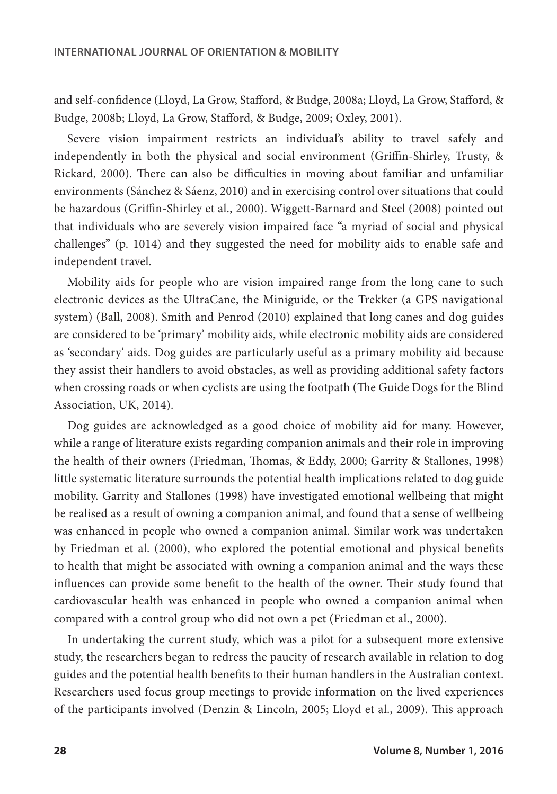and self-confidence (Lloyd, La Grow, Stafford, & Budge, 2008a; Lloyd, La Grow, Stafford, & Budge, 2008b; Lloyd, La Grow, Stafford, & Budge, 2009; Oxley, 2001).

Severe vision impairment restricts an individual's ability to travel safely and independently in both the physical and social environment (Griffin-Shirley, Trusty, & Rickard, 2000). There can also be difficulties in moving about familiar and unfamiliar environments (Sánchez & Sáenz, 2010) and in exercising control over situations that could be hazardous (Griffin-Shirley et al., 2000). Wiggett-Barnard and Steel (2008) pointed out that individuals who are severely vision impaired face "a myriad of social and physical challenges" (p. 1014) and they suggested the need for mobility aids to enable safe and independent travel.

Mobility aids for people who are vision impaired range from the long cane to such electronic devices as the UltraCane, the Miniguide, or the Trekker (a GPS navigational system) (Ball, 2008). Smith and Penrod (2010) explained that long canes and dog guides are considered to be 'primary' mobility aids, while electronic mobility aids are considered as 'secondary' aids. Dog guides are particularly useful as a primary mobility aid because they assist their handlers to avoid obstacles, as well as providing additional safety factors when crossing roads or when cyclists are using the footpath (The Guide Dogs for the Blind Association, UK, 2014).

Dog guides are acknowledged as a good choice of mobility aid for many. However, while a range of literature exists regarding companion animals and their role in improving the health of their owners (Friedman, Thomas, & Eddy, 2000; Garrity & Stallones, 1998) little systematic literature surrounds the potential health implications related to dog guide mobility. Garrity and Stallones (1998) have investigated emotional wellbeing that might be realised as a result of owning a companion animal, and found that a sense of wellbeing was enhanced in people who owned a companion animal. Similar work was undertaken by Friedman et al. (2000), who explored the potential emotional and physical benefits to health that might be associated with owning a companion animal and the ways these influences can provide some benefit to the health of the owner. Their study found that cardiovascular health was enhanced in people who owned a companion animal when compared with a control group who did not own a pet (Friedman et al., 2000).

In undertaking the current study, which was a pilot for a subsequent more extensive study, the researchers began to redress the paucity of research available in relation to dog guides and the potential health benefits to their human handlers in the Australian context. Researchers used focus group meetings to provide information on the lived experiences of the participants involved (Denzin & Lincoln, 2005; Lloyd et al., 2009). This approach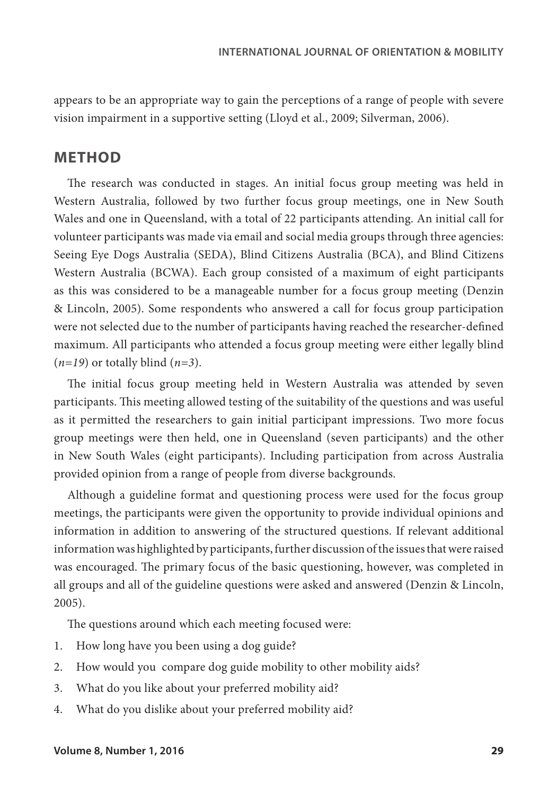appears to be an appropriate way to gain the perceptions of a range of people with severe vision impairment in a supportive setting (Lloyd et al., 2009; Silverman, 2006).

## **METHOD**

The research was conducted in stages. An initial focus group meeting was held in Western Australia, followed by two further focus group meetings, one in New South Wales and one in Queensland, with a total of 22 participants attending. An initial call for volunteer participants was made via email and social media groups through three agencies: Seeing Eye Dogs Australia (SEDA), Blind Citizens Australia (BCA), and Blind Citizens Western Australia (BCWA). Each group consisted of a maximum of eight participants as this was considered to be a manageable number for a focus group meeting (Denzin & Lincoln, 2005). Some respondents who answered a call for focus group participation were not selected due to the number of participants having reached the researcher-defined maximum. All participants who attended a focus group meeting were either legally blind (*n=19*) or totally blind (*n=3*).

The initial focus group meeting held in Western Australia was attended by seven participants. This meeting allowed testing of the suitability of the questions and was useful as it permitted the researchers to gain initial participant impressions. Two more focus group meetings were then held, one in Queensland (seven participants) and the other in New South Wales (eight participants). Including participation from across Australia provided opinion from a range of people from diverse backgrounds.

Although a guideline format and questioning process were used for the focus group meetings, the participants were given the opportunity to provide individual opinions and information in addition to answering of the structured questions. If relevant additional information was highlighted by participants, further discussion of the issues that were raised was encouraged. The primary focus of the basic questioning, however, was completed in all groups and all of the guideline questions were asked and answered (Denzin & Lincoln, 2005).

The questions around which each meeting focused were:

- 1. How long have you been using a dog guide?
- 2. How would you compare dog guide mobility to other mobility aids?
- 3. What do you like about your preferred mobility aid?
- 4. What do you dislike about your preferred mobility aid?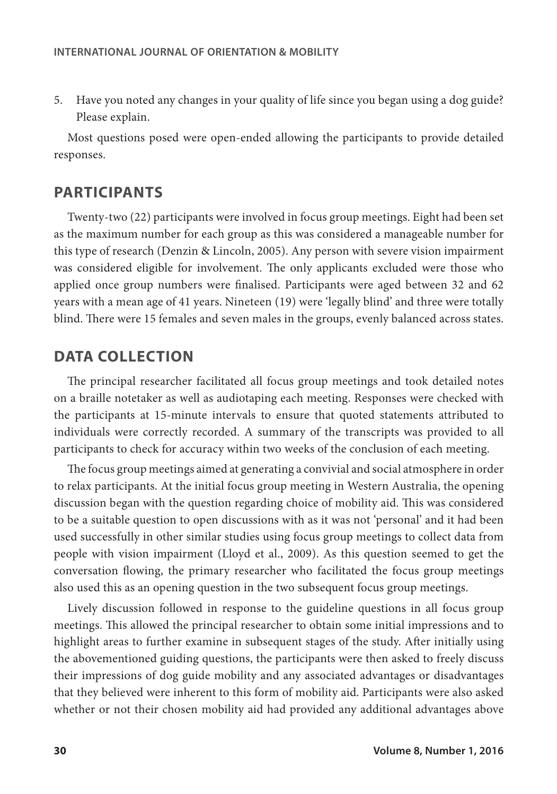5. Have you noted any changes in your quality of life since you began using a dog guide? Please explain.

Most questions posed were open-ended allowing the participants to provide detailed responses.

#### **PARTICIPANTS**

Twenty-two (22) participants were involved in focus group meetings. Eight had been set as the maximum number for each group as this was considered a manageable number for this type of research (Denzin & Lincoln, 2005). Any person with severe vision impairment was considered eligible for involvement. The only applicants excluded were those who applied once group numbers were finalised. Participants were aged between 32 and 62 years with a mean age of 41 years. Nineteen (19) were 'legally blind' and three were totally blind. There were 15 females and seven males in the groups, evenly balanced across states.

# **DATA COLLECTION**

The principal researcher facilitated all focus group meetings and took detailed notes on a braille notetaker as well as audiotaping each meeting. Responses were checked with the participants at 15-minute intervals to ensure that quoted statements attributed to individuals were correctly recorded. A summary of the transcripts was provided to all participants to check for accuracy within two weeks of the conclusion of each meeting.

The focus group meetings aimed at generating a convivial and social atmosphere in order to relax participants. At the initial focus group meeting in Western Australia, the opening discussion began with the question regarding choice of mobility aid. This was considered to be a suitable question to open discussions with as it was not 'personal' and it had been used successfully in other similar studies using focus group meetings to collect data from people with vision impairment (Lloyd et al., 2009). As this question seemed to get the conversation flowing, the primary researcher who facilitated the focus group meetings also used this as an opening question in the two subsequent focus group meetings.

Lively discussion followed in response to the guideline questions in all focus group meetings. This allowed the principal researcher to obtain some initial impressions and to highlight areas to further examine in subsequent stages of the study. After initially using the abovementioned guiding questions, the participants were then asked to freely discuss their impressions of dog guide mobility and any associated advantages or disadvantages that they believed were inherent to this form of mobility aid. Participants were also asked whether or not their chosen mobility aid had provided any additional advantages above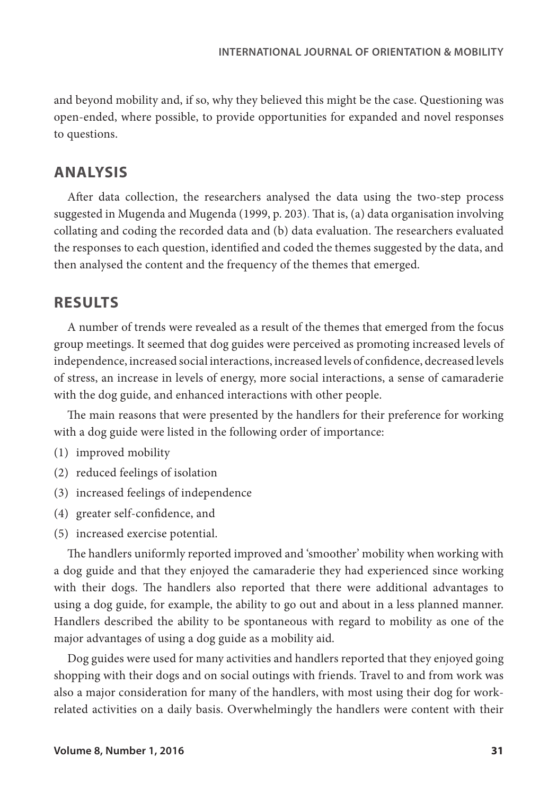and beyond mobility and, if so, why they believed this might be the case. Questioning was open-ended, where possible, to provide opportunities for expanded and novel responses to questions.

# **ANALYSIS**

After data collection, the researchers analysed the data using the two-step process suggested in Mugenda and Mugenda (1999, p. 203). That is, (a) data organisation involving collating and coding the recorded data and (b) data evaluation. The researchers evaluated the responses to each question, identified and coded the themes suggested by the data, and then analysed the content and the frequency of the themes that emerged.

# **RESULTS**

A number of trends were revealed as a result of the themes that emerged from the focus group meetings. It seemed that dog guides were perceived as promoting increased levels of independence, increased social interactions, increased levels of confidence, decreased levels of stress, an increase in levels of energy, more social interactions, a sense of camaraderie with the dog guide, and enhanced interactions with other people.

The main reasons that were presented by the handlers for their preference for working with a dog guide were listed in the following order of importance:

- (1) improved mobility
- (2) reduced feelings of isolation
- (3) increased feelings of independence
- (4) greater self-confidence, and
- (5) increased exercise potential.

The handlers uniformly reported improved and 'smoother' mobility when working with a dog guide and that they enjoyed the camaraderie they had experienced since working with their dogs. The handlers also reported that there were additional advantages to using a dog guide, for example, the ability to go out and about in a less planned manner. Handlers described the ability to be spontaneous with regard to mobility as one of the major advantages of using a dog guide as a mobility aid.

Dog guides were used for many activities and handlers reported that they enjoyed going shopping with their dogs and on social outings with friends. Travel to and from work was also a major consideration for many of the handlers, with most using their dog for workrelated activities on a daily basis. Overwhelmingly the handlers were content with their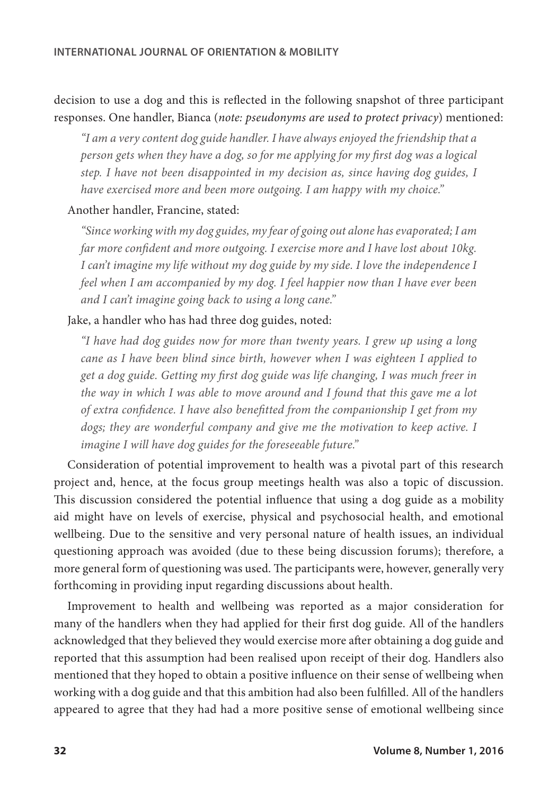# decision to use a dog and this is reflected in the following snapshot of three participant responses. One handler, Bianca (*note: pseudonyms are used to protect privacy*) mentioned:

*"I am a very content dog guide handler. I have always enjoyed the friendship that a person gets when they have a dog, so for me applying for my first dog was a logical step. I have not been disappointed in my decision as, since having dog guides, I have exercised more and been more outgoing. I am happy with my choice."*

#### Another handler, Francine, stated:

*"Since working with my dog guides, my fear of going out alone has evaporated; I am far more confident and more outgoing. I exercise more and I have lost about 10kg. I can't imagine my life without my dog guide by my side. I love the independence I feel when I am accompanied by my dog. I feel happier now than I have ever been and I can't imagine going back to using a long cane."*

#### Jake, a handler who has had three dog guides, noted:

*"I have had dog guides now for more than twenty years. I grew up using a long cane as I have been blind since birth, however when I was eighteen I applied to get a dog guide. Getting my first dog guide was life changing, I was much freer in the way in which I was able to move around and I found that this gave me a lot of extra confidence. I have also benefitted from the companionship I get from my dogs; they are wonderful company and give me the motivation to keep active. I imagine I will have dog guides for the foreseeable future."*

Consideration of potential improvement to health was a pivotal part of this research project and, hence, at the focus group meetings health was also a topic of discussion. This discussion considered the potential influence that using a dog guide as a mobility aid might have on levels of exercise, physical and psychosocial health, and emotional wellbeing. Due to the sensitive and very personal nature of health issues, an individual questioning approach was avoided (due to these being discussion forums); therefore, a more general form of questioning was used. The participants were, however, generally very forthcoming in providing input regarding discussions about health.

Improvement to health and wellbeing was reported as a major consideration for many of the handlers when they had applied for their first dog guide. All of the handlers acknowledged that they believed they would exercise more after obtaining a dog guide and reported that this assumption had been realised upon receipt of their dog. Handlers also mentioned that they hoped to obtain a positive influence on their sense of wellbeing when working with a dog guide and that this ambition had also been fulfilled. All of the handlers appeared to agree that they had had a more positive sense of emotional wellbeing since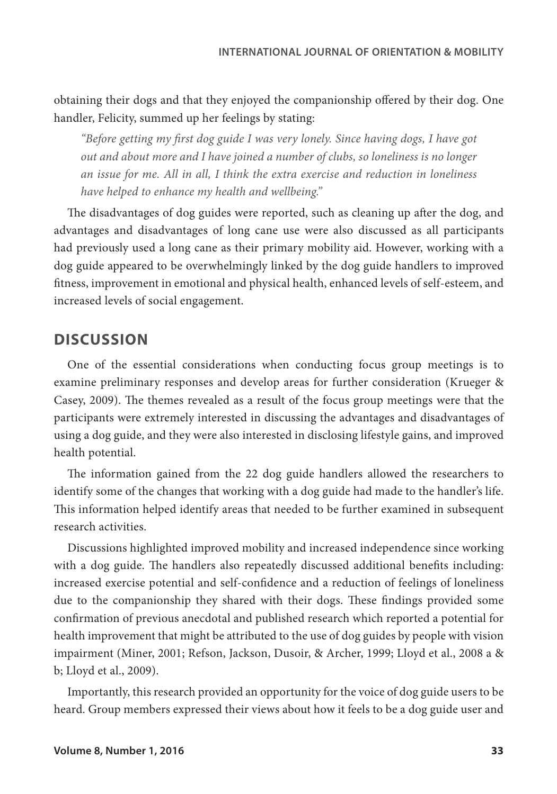obtaining their dogs and that they enjoyed the companionship offered by their dog. One handler, Felicity, summed up her feelings by stating:

*"Before getting my first dog guide I was very lonely. Since having dogs, I have got out and about more and I have joined a number of clubs, so loneliness is no longer an issue for me. All in all, I think the extra exercise and reduction in loneliness have helped to enhance my health and wellbeing."*

The disadvantages of dog guides were reported, such as cleaning up after the dog, and advantages and disadvantages of long cane use were also discussed as all participants had previously used a long cane as their primary mobility aid. However, working with a dog guide appeared to be overwhelmingly linked by the dog guide handlers to improved fitness, improvement in emotional and physical health, enhanced levels of self-esteem, and increased levels of social engagement.

# **DISCUSSION**

One of the essential considerations when conducting focus group meetings is to examine preliminary responses and develop areas for further consideration (Krueger & Casey, 2009). The themes revealed as a result of the focus group meetings were that the participants were extremely interested in discussing the advantages and disadvantages of using a dog guide, and they were also interested in disclosing lifestyle gains, and improved health potential.

The information gained from the 22 dog guide handlers allowed the researchers to identify some of the changes that working with a dog guide had made to the handler's life. This information helped identify areas that needed to be further examined in subsequent research activities.

Discussions highlighted improved mobility and increased independence since working with a dog guide. The handlers also repeatedly discussed additional benefits including: increased exercise potential and self-confidence and a reduction of feelings of loneliness due to the companionship they shared with their dogs. These findings provided some confirmation of previous anecdotal and published research which reported a potential for health improvement that might be attributed to the use of dog guides by people with vision impairment (Miner, 2001; Refson, Jackson, Dusoir, & Archer, 1999; Lloyd et al., 2008 a & b; Lloyd et al., 2009).

Importantly, this research provided an opportunity for the voice of dog guide users to be heard. Group members expressed their views about how it feels to be a dog guide user and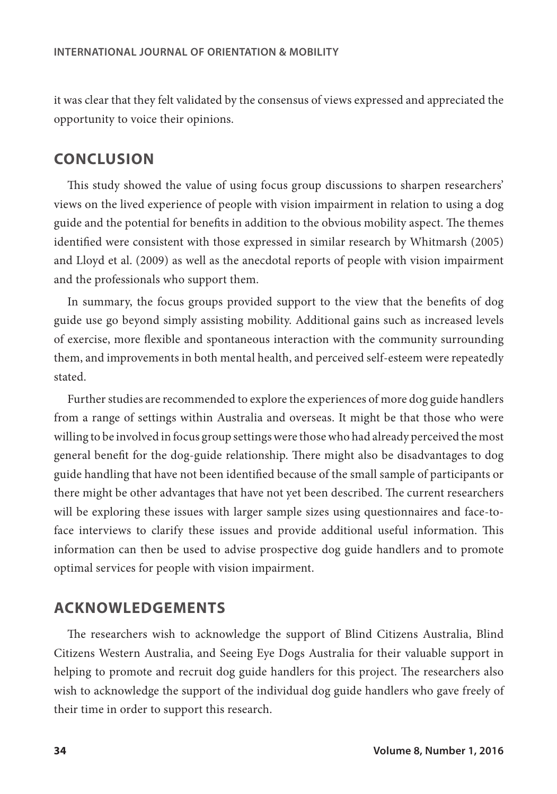it was clear that they felt validated by the consensus of views expressed and appreciated the opportunity to voice their opinions.

## **CONCLUSION**

This study showed the value of using focus group discussions to sharpen researchers' views on the lived experience of people with vision impairment in relation to using a dog guide and the potential for benefits in addition to the obvious mobility aspect. The themes identified were consistent with those expressed in similar research by Whitmarsh (2005) and Lloyd et al. (2009) as well as the anecdotal reports of people with vision impairment and the professionals who support them.

In summary, the focus groups provided support to the view that the benefits of dog guide use go beyond simply assisting mobility. Additional gains such as increased levels of exercise, more flexible and spontaneous interaction with the community surrounding them, and improvements in both mental health, and perceived self-esteem were repeatedly stated.

Further studies are recommended to explore the experiences of more dog guide handlers from a range of settings within Australia and overseas. It might be that those who were willing to be involved in focus group settings were those who had already perceived the most general benefit for the dog-guide relationship. There might also be disadvantages to dog guide handling that have not been identified because of the small sample of participants or there might be other advantages that have not yet been described. The current researchers will be exploring these issues with larger sample sizes using questionnaires and face-toface interviews to clarify these issues and provide additional useful information. This information can then be used to advise prospective dog guide handlers and to promote optimal services for people with vision impairment.

# **ACKNOWLEDGEMENTS**

The researchers wish to acknowledge the support of Blind Citizens Australia, Blind Citizens Western Australia, and Seeing Eye Dogs Australia for their valuable support in helping to promote and recruit dog guide handlers for this project. The researchers also wish to acknowledge the support of the individual dog guide handlers who gave freely of their time in order to support this research.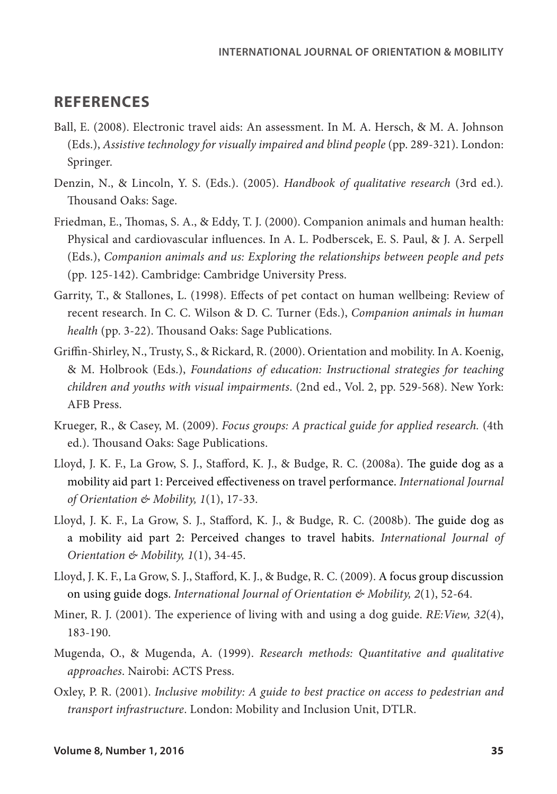## **REFERENCES**

- Ball, E. (2008). Electronic travel aids: An assessment. In M. A. Hersch, & M. A. Johnson (Eds.), *Assistive technology for visually impaired and blind people* (pp. 289-321). London: Springer.
- Denzin, N., & Lincoln, Y. S. (Eds.). (2005). *Handbook of qualitative research* (3rd ed.)*.*  Thousand Oaks: Sage.
- Friedman, E., Thomas, S. A., & Eddy, T. J. (2000). Companion animals and human health: Physical and cardiovascular influences. In A. L. Podberscek, E. S. Paul, & J. A. Serpell (Eds.), *Companion animals and us: Exploring the relationships between people and pets*  (pp. 125-142). Cambridge: Cambridge University Press.
- Garrity, T., & Stallones, L. (1998). Effects of pet contact on human wellbeing: Review of recent research. In C. C. Wilson & D. C. Turner (Eds.), *Companion animals in human health* (pp. 3-22). Thousand Oaks: Sage Publications.
- Griffin-Shirley, N., Trusty, S., & Rickard, R. (2000). Orientation and mobility. In A. Koenig, & M. Holbrook (Eds.), *Foundations of education: Instructional strategies for teaching children and youths with visual impairments*. (2nd ed., Vol. 2, pp. 529-568). New York: AFB Press.
- Krueger, R., & Casey, M. (2009). *Focus groups: A practical guide for applied research.* (4th ed.). Thousand Oaks: Sage Publications.
- Lloyd, J. K. F., La Grow, S. J., Stafford, K. J., & Budge, R. C. (2008a). The guide dog as a mobility aid part 1: Perceived effectiveness on travel performance. *International Journal of Orientation & Mobility, 1*(1), 17-33.
- Lloyd, J. K. F., La Grow, S. J., Stafford, K. J., & Budge, R. C. (2008b). The guide dog as a mobility aid part 2: Perceived changes to travel habits. *International Journal of Orientation & Mobility, 1*(1), 34-45.
- Lloyd, J. K. F., La Grow, S. J., Stafford, K. J., & Budge, R. C. (2009). A focus group discussion on using guide dogs. *International Journal of Orientation & Mobility, 2*(1), 52-64.
- Miner, R. J. (2001). The experience of living with and using a dog guide. *RE:View, 32*(4), 183-190.
- Mugenda, O., & Mugenda, A. (1999). *Research methods: Quantitative and qualitative approaches*. Nairobi: ACTS Press.
- Oxley, P. R. (2001). *Inclusive mobility: A guide to best practice on access to pedestrian and transport infrastructure*. London: Mobility and Inclusion Unit, DTLR.